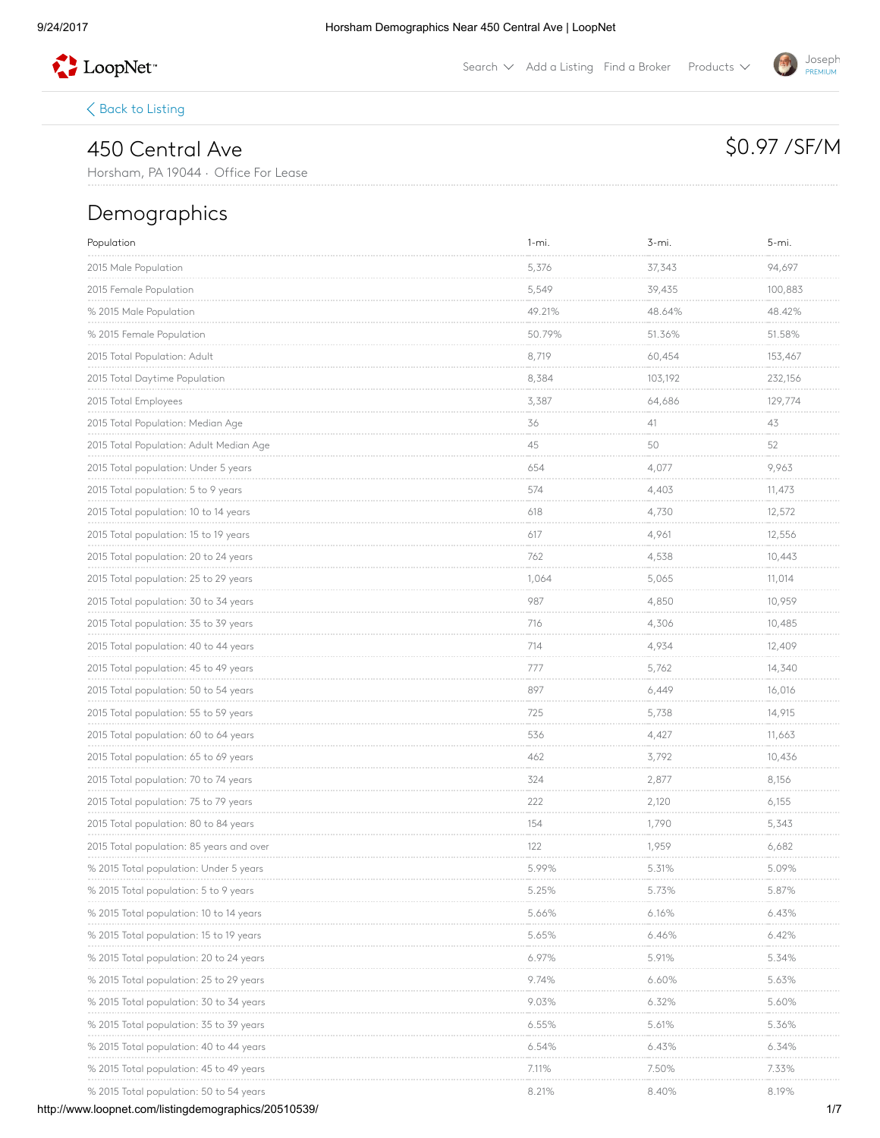

Search  $\vee$  Add a [Listing](http://www.loopnet.com/xNet/MainSite/Listing/Manage/?linkcode=31818) Find a [Broker](http://www.loopnet.com/xNet/MainSite/User/Directory/Search/SearchCriteria.aspx?linkcode=31819) Products  $\vee$ 

 $\langle$  Back to [Listing](http://www.loopnet.com/Listing/20510539/450-Central-Ave-Horsham-PA/)

## 450 Central Ave

Horsham, PA 19044 · Office For Lease

### Demographics

| Population                               | $1 - mi.$               | 3-mi.                      | 5-mi.                        |
|------------------------------------------|-------------------------|----------------------------|------------------------------|
| 2015 Male Population                     | 5,376<br><b>Service</b> | 37,343                     | 94,697                       |
| 2015 Female Population                   | 5,549                   | 39,435                     | 100,883                      |
| % 2015 Male Population                   | 49.21%                  | 48.64%                     | 48.42%                       |
| % 2015 Female Population                 | 50.79%                  | 51.36%                     | 51.58%                       |
| 2015 Total Population: Adult             | 8,719                   | 60,454                     | 153,467                      |
| 2015 Total Daytime Population            | 8,384                   | 103,192                    | 232,156<br><b>CONTRACTOR</b> |
| 2015 Total Employees                     | 3,387                   | 64,686                     | 129,774                      |
| 2015 Total Population: Median Age        | 36                      | 41<br>market in            | 43<br><b>COLOR</b>           |
| 2015 Total Population: Adult Median Age  | 45                      | 50                         | 52<br>mark of                |
| 2015 Total population: Under 5 years     | 654                     | 4,077                      | 9,963                        |
| 2015 Total population: 5 to 9 years      | 574                     | 4,403                      | 11,473<br>.                  |
| 2015 Total population: 10 to 14 years    | 618                     | 4,730                      | 12,572                       |
| 2015 Total population: 15 to 19 years    | 617                     | 4,961                      | 12,556                       |
| 2015 Total population: 20 to 24 years    | 762                     | 4,538                      | 10,443                       |
| 2015 Total population: 25 to 29 years    | 1,064<br>.              | 5,065                      | 11,014                       |
| 2015 Total population: 30 to 34 years    | 987                     | 4,850                      | 10,959                       |
| 2015 Total population: 35 to 39 years    | 716                     | 4,306                      | 10,485                       |
|                                          | 714<br><b>COLOR</b>     | 4,934                      | 12,409                       |
| 2015 Total population: 45 to 49 years    | 777                     | 5,762                      | 14,340                       |
| 2015 Total population: 50 to 54 years    | 897                     | 6,449                      | 16,016                       |
| 2015 Total population: 55 to 59 years    | 725                     | 5,738                      | 14,915                       |
| 2015 Total population: 60 to 64 years    | 536                     | 4,427                      | 11,663                       |
| 2015 Total population: 65 to 69 years    | 462<br>------           | 3,792<br>and a control     | 10,436<br><b>Service</b>     |
| 2015 Total population: 70 to 74 years    | 324                     | 2,877                      | 8,156                        |
| 2015 Total population: 75 to 79 years    | 222<br><b>COLOR</b>     | 2,120<br><b>Contractor</b> | 6,155<br><b>CONTRACTOR</b>   |
| 2015 Total population: 80 to 84 years    | 154                     | 1,790                      | 5,343                        |
| 2015 Total population: 85 years and over | 122                     | 1,959                      | 6,682                        |
| % 2015 Total population: Under 5 years   | 5.99%                   | 5.31%                      | 5.09%                        |
| % 2015 Total population: 5 to 9 years    | 5.25%                   | 5.73%                      | 5.87%                        |
| % 2015 Total population: 10 to 14 years  | 5.66%                   | 6.16%                      | 6.43%                        |
| % 2015 Total population: 15 to 19 years  | 5.65%                   | 6.46%                      | 6.42%                        |
| % 2015 Total population: 20 to 24 years  | 6.97%                   | 5.91%                      | 5.34%                        |
| % 2015 Total population: 25 to 29 years  | 9.74%                   | 6.60%                      | 5.63%                        |
| % 2015 lotal population: 30 to 34 years  | 9.03%                   | 6.32%                      | 5.60%                        |
| % 2015 lotal population: 35 to 39 years  | $6.55\%$                | 5.61%                      | 5.36%                        |
| % 2015 Total population: 40 to 44 years  | 6.54%                   | 6.43%                      | 6.34%                        |
| % 2015 lotal population: 45 to 49 years  | 7.11%                   | 7.50%                      | 7.33%<br><b>CONTRACTOR</b>   |
| % 2015 Total population: 50 to 54 years  | 8.21%                   | 8.40%                      | 8.19%                        |



# \$0.97 / SF/M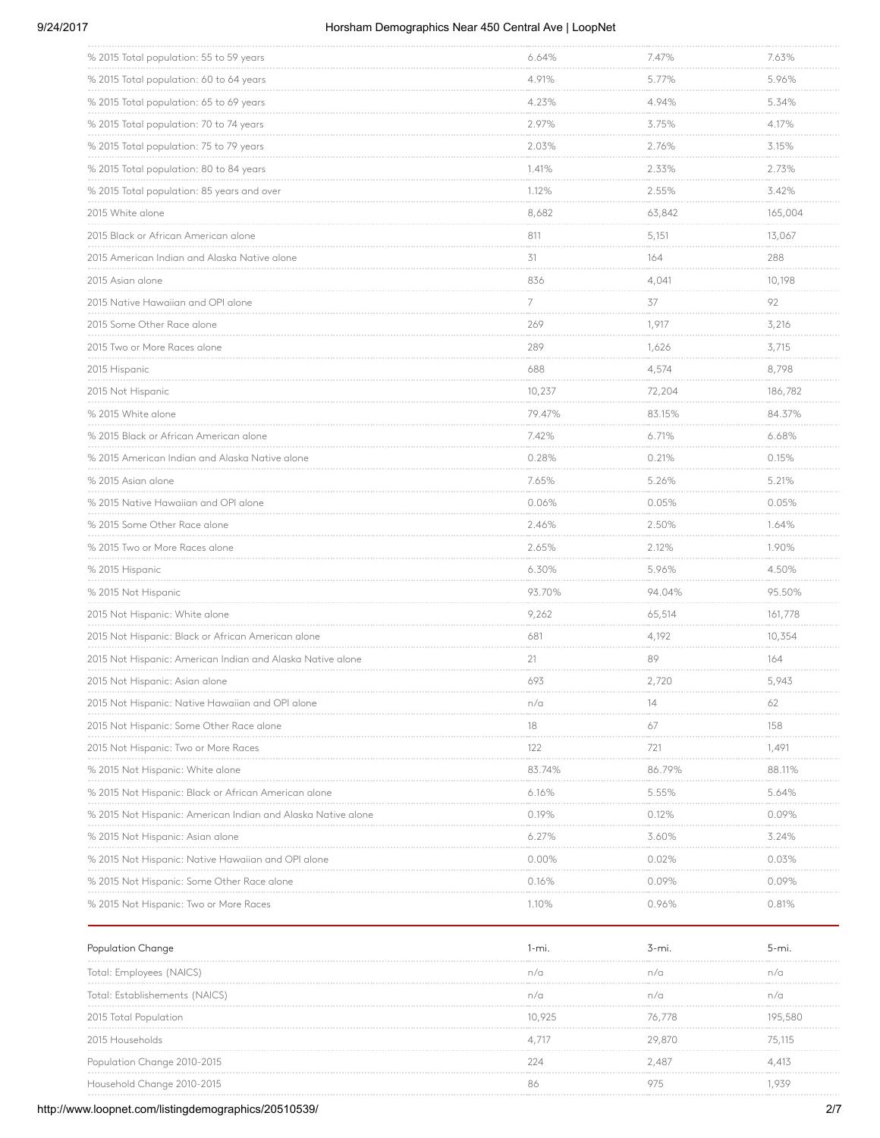#### 9/24/2017 Horsham Demographics Near 450 Central Ave | LoopNet

| % 2015 Total population: 55 to 59 years                      | 6.64%                           | 7.47%<br><b>Contract Contract</b> | 7.63%<br>                          |
|--------------------------------------------------------------|---------------------------------|-----------------------------------|------------------------------------|
| % 2015 Total population: 60 to 64 years                      | 4.91%                           | 5.77%                             | 5.96%                              |
| % 2015 Total population: 65 to 69 years                      | 4.23%                           | 4.94%                             | 5.34%                              |
|                                                              | 2.97%                           | 3.75%<br><b>CONTRACTOR</b>        | 4.17%<br><b>Service</b>            |
| % 2015 Total population: 75 to 79 years                      | 2.03%                           | 2.76%                             | 3.15%                              |
| % 2015 Total population: 80 to 84 years                      | 1.41%<br><b>Contractor</b>      | 2.33%<br>an an an an a            | 2.73%<br>an an an an an            |
| % 2015 Total population: 85 years and over                   | 1.12%                           | 2.55%                             | 3.42%                              |
| 2015 White alone                                             | 8,682                           | 63,842                            | 165,004                            |
| 2015 Black or African American alone                         | 811                             | 5,151                             | 13,067                             |
| 2015 American Indian and Alaska Native alone                 | 31                              | 164                               | 288                                |
| 2015 Asian alone                                             | 836                             | 4,041<br><b>COLLA</b>             | 10,198                             |
| 2015 Native Hawaiian and OPI alone                           | 7                               | 37                                | 92                                 |
| 2015 Some Other Race alone                                   | 269<br><b>Contractor</b>        | 1,917<br><b>Contract Contract</b> | 3,216<br><b>Contractor</b>         |
| 2015 Two or More Races alone                                 | 289                             | 1,626                             | 3,715                              |
| 2015 Hispanic                                                | 688                             | 4,574                             | 8,798                              |
| 2015 Not Hispanic                                            | 10,237                          | 72,204<br><b>Contractor</b>       | 186,782<br>.                       |
| % 2015 White alone                                           | 79.47%                          | 83.15%                            | 84.37%                             |
| % 2015 Black or African American alone                       | 7.42%<br><b>Service Control</b> | 6.71%<br><b>Contractor</b>        | 6.68%<br><b>CONTRACTOR</b>         |
| % 2015 American Indian and Alaska Native alone               | 0.28%                           | 0.21%                             | 0.15%                              |
| % 2015 Asian alone                                           | 7.65%                           | 5.26%<br>.                        | 5.21%                              |
| % 2015 Native Hawaiian and OPI alone                         | 0.06%                           | 0.05%                             | 0.05%                              |
| % 2015 Some Other Race alone                                 | 2.46%                           | 2.50%                             | 1.64%                              |
| % 2015 Two or More Races alone                               | 2.65%<br><b>Contractor</b>      | 2.12%<br><b>CONTRACTOR</b>        | 1.90%<br><b>CONTRACTOR</b>         |
| % 2015 Hispanic                                              | 6.30%                           | 5.96%                             | 4.50%                              |
| % 2015 Not Hispanic                                          | 93.70%<br><b>Contractor</b>     | 94.04%<br><b>Service Control</b>  | 95.50%<br><b>Contract Contract</b> |
| 2015 Not Hispanic: White alone                               | 9,262                           | 65,514                            | 161,778                            |
| 2015 Not Hispanic: Black or African American alone           | 681                             | 4,192                             | 10,354                             |
| 2015 Not Hispanic: American Indian and Alaska Native alone   | 21                              | 89                                | 164                                |
| 2015 Not Hispanic: Asian alone                               | 693                             | 2,720                             | 5,943                              |
| 2015 Not Hispanic: Native Hawaiian and OPI alone             | n/a                             | 14                                | 62                                 |
| 2015 Not Hispanic: Some Other Race alone                     | 18                              | 67                                | 158                                |
| 2015 Not Hispanic: Two or More Races                         | 122                             | 721                               | 1,491                              |
| % 2015 Not Hispanic: White alone                             | 83.74%                          | 86.79%                            | 88.11%                             |
| % 2015 Not Hispanic: Black or African American alone         | 6.16%                           | 5.55%                             | 5.64%                              |
| % 2015 Not Hispanic: American Indian and Alaska Native alone | 0.19%                           | 0.12%                             | 0.09%                              |
| % 2015 Not Hispanic: Asian alone                             | 6.27%                           | 3.60%                             | 3.24%                              |
| % 2015 Not Hispanic: Native Hawaiian and OPI alone           | $0.00\%$<br><b>CONTRACTOR</b>   | 0.02%<br><b>Contract Contract</b> | 0.03%<br><b>CONTRACTOR</b>         |
| % 2015 Not Hispanic: Some Other Race alone                   | 0.16%                           | 0.09%                             | 0.09%                              |
| % 2015 Not Hispanic: Two or More Races                       | 1.10%                           | 0.96%                             | 0.81%                              |
|                                                              |                                 |                                   |                                    |

| Population Change              |        | s-mi   | b-mi.   |
|--------------------------------|--------|--------|---------|
| Total: Employees (NAICS)       | n/a    | n/c    | n/a     |
| Total: Establishements (NAICS) |        | n/c    | n/c     |
| 2015 Total Population          | 10.925 | 76.778 | 195.580 |
| 2015 Households                |        | 29.870 | 75.115  |
| Population Change 2010-2015    |        | 2.487  | . 413   |
| Household Change 2010-2015     |        |        |         |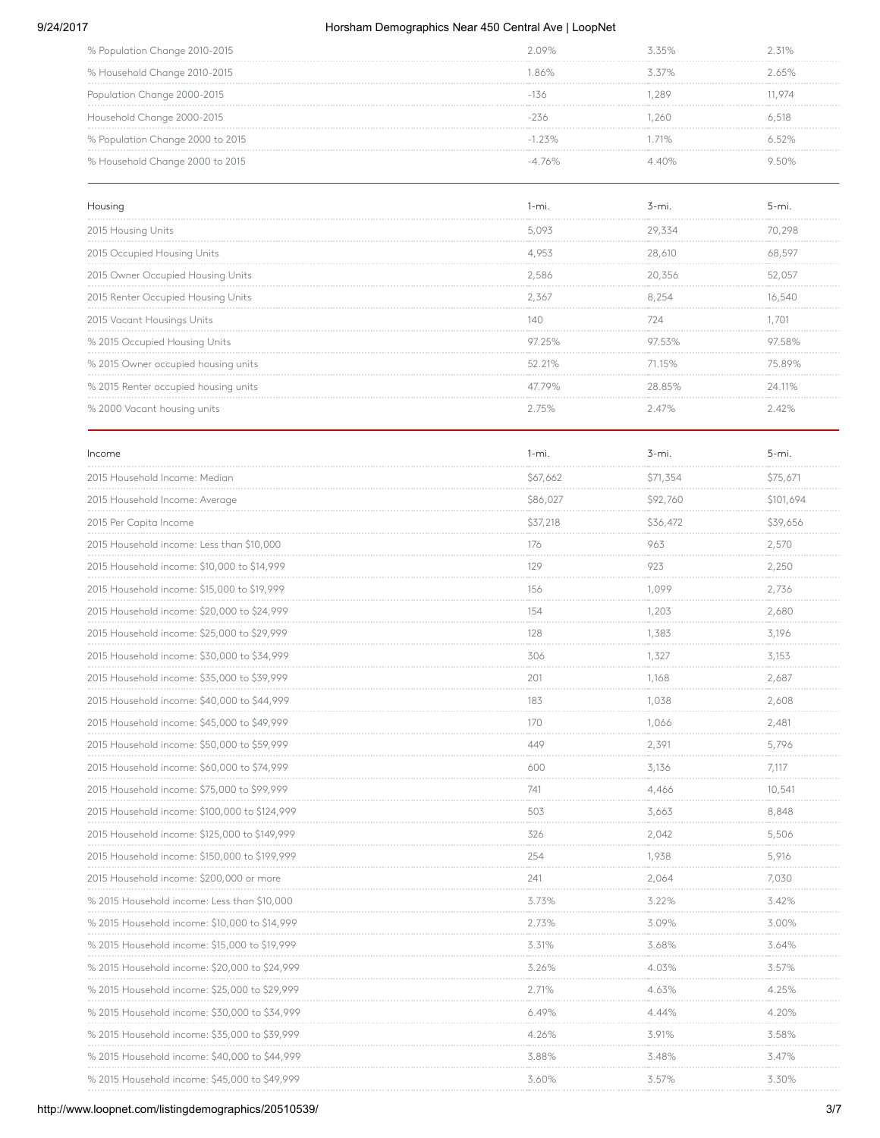#### 9/24/2017 Horsham Demographics Near 450 Central Ave | LoopNet

| % Population Change 2010-2015    | 2.09%   |          | 31%   |
|----------------------------------|---------|----------|-------|
| % Household Change 2010-2015     | 86%     | $5.57\%$ | 2 65% |
| Population Change 2000-2015      |         | 289      | 1974  |
| Household Change 2000-2015       |         | 260      | 6.518 |
| % Population Change 2000 to 2015 | $-123%$ | $11\%$   | 652%  |
| % Household Change 2000 to 2015  | -4 76%  |          |       |

| Housing                              |        |           |        |
|--------------------------------------|--------|-----------|--------|
| 2015 Housing Units                   | 5 093  | 29.554    |        |
| 2015 Occupied Housing Units          | 4.953  | 28,610    |        |
| 2015 Owner Occupied Housing Units    | 2.586  | 20,356    | 52.057 |
| 2015 Renter Occupied Housing Units   | 2.367  |           |        |
| 2015 Vacant Housings Units           | 14∩    | 724       |        |
| % 2015 Occupied Housing Units        |        |           |        |
| % 2015 Owner occupied housing units  | 52.21% | $71.15\%$ |        |
| % 2015 Renter occupied housing units | 47.79% | 28.85%    | 24 11% |
| % 2000 Vacant housing units          |        |           |        |

| Income                                        | $1 - mi$ .                 | $3 - mi$ .                    | $5 - mi.$                     |
|-----------------------------------------------|----------------------------|-------------------------------|-------------------------------|
| 2015 Household Income: Median                 | \$67,662<br>.              | \$71,354<br><b>Contractor</b> | \$75,671<br><b>CONTRACTOR</b> |
| 2015 Household Income: Average                | \$86,027                   | \$92,760                      | \$101,694                     |
| 2015 Per Capita Income                        | \$37,218                   | \$36,472                      | \$39,656<br>.                 |
| 2015 Household income: Less than \$10,000     | 176                        | 963                           | 2,570                         |
| 2015 Household income: \$10,000 to \$14,999   | 129                        | 923                           | 2,250<br><b>CONTRACTOR</b>    |
| 2015 Household income: \$15,000 to \$19,999   | 156                        | 1,099                         | 2,736                         |
| 2015 Household income: \$20,000 to \$24,999   | 154                        | 1,203                         | 2,680<br><b>Contractor</b>    |
| 2015 Household income: \$25,000 to \$29,999   | 128                        | 1,383                         | 3.196                         |
| 2015 Household income: \$30,000 to \$34,999   | 306                        | 1,327                         | 3,153                         |
| 2015 Household income: \$35,000 to \$39,999   | 201                        | 1,168                         | 2,687                         |
| 2015 Household income: \$40,000 to \$44,999   | 183                        | 1,038                         | 2,608                         |
| 2015 Household income: \$45,000 to \$49,999   | 170<br><b>COLLA</b>        | 1.066<br><b>Contractor</b>    | 2,481                         |
| 2015 Household income: \$50,000 to \$59,999   | 449                        | 2,391                         | <b>Contractor</b><br>5,796    |
| 2015 Household income: \$60,000 to \$74,999   | 600                        | 3,136                         | 7.117                         |
| 2015 Household income: \$75,000 to \$99,999   | 741                        | 4,466                         | 10,541                        |
| 2015 Household income: \$100,000 to \$124,999 | 503                        | 3,663                         | 8,848<br><b>CONTRACTOR</b>    |
| 2015 Household income: \$125,000 to \$149,999 | 326                        | 2,042                         | 5,506                         |
| 2015 Household income: \$150,000 to \$199,999 | 254                        | 1,938                         | 5,916                         |
| 2015 Household income: \$200,000 or more      | 241                        | 2,064                         | 7,030                         |
| % 2015 Household income: Less than \$10,000   | 3.73%                      | 3.22%                         | 3.42%                         |
| % 2015 Household income: \$10,000 to \$14,999 | 2.73%<br><b>Contractor</b> | 3.09%<br><b>Contractor</b>    | 3.00%<br><b>CONTRACTOR</b>    |
| % 2015 Household income: \$15,000 to \$19,999 | 3.31%                      | 3.68%                         | 3.64%                         |
| % 2015 Household income: \$20,000 to \$24,999 | 3.26%                      | 4.03%                         | 3.57%<br><b>CONTRACTOR</b>    |
| % 2015 Household income: \$25,000 to \$29,999 | 2.71%                      | 4.63%                         | 4.25%                         |
| % 2015 Household income: \$30,000 to \$34,999 | 6.49%                      | 4.44%<br><b>Contractor</b>    | 4.20%<br><b>Holland</b>       |
| % 2015 Household income: \$35,000 to \$39,999 | 4.26%                      | 3.91%                         | 3.58%                         |
| % 2015 Household income: \$40,000 to \$44,999 | 3.88%                      | 3.48%                         | 3.47%                         |
| % 2015 Household income: \$45,000 to \$49,999 | 3.60%                      | 3.57%                         | 3.30%                         |
|                                               |                            |                               |                               |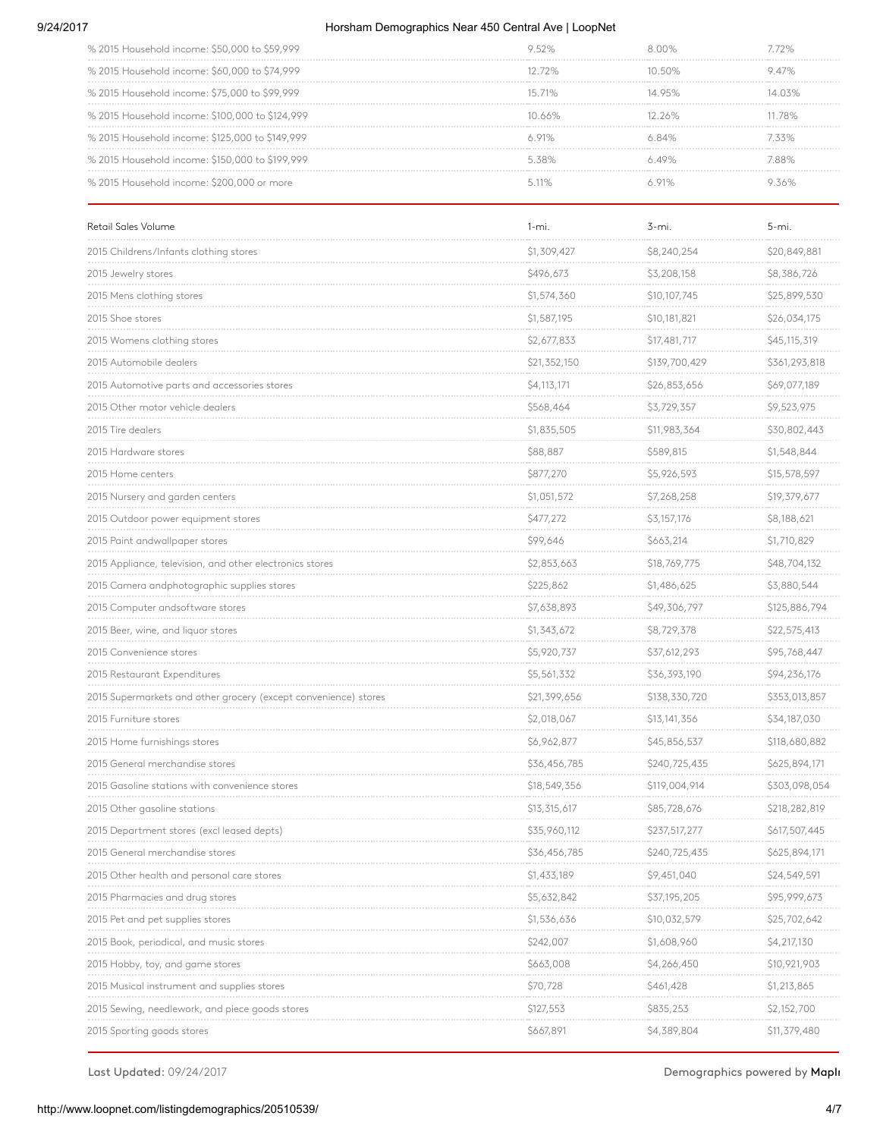#### 9/24/2017 Horsham Demographics Near 450 Central Ave | LoopNet

| % 2015 Household income: \$50,000 to \$59,999   |        |           |      |
|-------------------------------------------------|--------|-----------|------|
| % 2015 Household income: \$60,000 to \$74,999   | 1272%  | 10 50%    | 947% |
| % 2015 Household income: \$75,000 to \$99,999   | 15 71% | 14 95%    |      |
| % 2015 Household income: \$100,000 to \$124,999 | 10.66% | $12.26\%$ | 78%  |
| % 2015 Household income: \$125,000 to \$149,999 | ለ 91%  |           | 33%  |
| % 2015 Household income: \$150,000 to \$199,999 | 538%   |           | 88%  |
| % 2015 Household income: \$200,000 or more      |        |           |      |

| Retail Sales Volume                                             | $1 - mi.$    | 3-mi.         | 5-mi.                         |
|-----------------------------------------------------------------|--------------|---------------|-------------------------------|
| 2015 Childrens/Infants clothing stores                          | \$1,309,427  | \$8,240,254   | \$20,849,881                  |
| 2015 Jewelry stores                                             | \$496,673    | \$3,208,158   | \$8,386,726                   |
| 2015 Mens clothing stores                                       | \$1,574,360  | \$10,107,745  | \$25,899,530<br>a concerta de |
| 2015 Shoe stores                                                | \$1,587,195  | \$10,181,821  | \$26,034,175                  |
| 2015 Womens clothing stores                                     | \$2,677,833  | \$17,481,717  | \$45,115,319                  |
| 2015 Automobile dealers                                         | \$21,352,150 | \$139,700,429 | \$361,293,818                 |
| 2015 Automotive parts and accessories stores                    | \$4,113,171  | \$26,853,656  | \$69,077,189                  |
| 2015 Other motor vehicle dealers                                | \$568,464    | \$3,729,357   | \$9,523,975                   |
| 2015 Tire dealers                                               | \$1,835,505  | \$11,983,364  | \$30,802,443                  |
| 2015 Hardware stores                                            | \$88,887     | \$589,815     | \$1,548,844                   |
| 2015 Home centers                                               | \$877,270    | \$5,926,593   | \$15,578,597                  |
| 2015 Nursery and garden centers                                 | \$1,051,572  | \$7,268,258   | \$19,379,677                  |
| 2015 Outdoor power equipment stores                             | \$477,272    | \$3,157,176   | \$8,188,621                   |
| 2015 Paint andwallpaper stores                                  | \$99,646     | \$663,214     | \$1,710,829                   |
| 2015 Appliance, television, and other electronics stores        | \$2,853,663  | \$18,769,775  | \$48,704,132                  |
| 2015 Camera andphotographic supplies stores                     | \$225,862    | \$1,486,625   | \$3,880,544                   |
| 2015 Computer andsoftware stores                                | \$7,638,893  | \$49,306,797  | \$125,886,794                 |
| 2015 Beer, wine, and liquor stores                              | \$1,343,672  | \$8,729,378   | \$22,575,413                  |
| 2015 Convenience stores                                         | \$5,920,737  | \$37,612,293  | \$95,768,447                  |
| 2015 Restaurant Expenditures                                    | \$5,561,332  | \$36,393,190  | \$94,236,176                  |
| 2015 Supermarkets and other grocery (except convenience) stores | \$21,399,656 | \$138,330,720 | \$353,013,857                 |
| 2015 Furniture stores                                           | \$2,018,067  | \$13,141,356  | \$34,187,030                  |
| 2015 Home furnishings stores                                    | \$6,962,877  | \$45,856,537  | \$118,680,882                 |
| 2015 General merchandise stores                                 | \$36,456,785 | \$240,725,435 | \$625,894,171                 |
| 2015 Gasoline stations with convenience stores                  | \$18,549,356 | \$119,004,914 | \$303,098,054                 |
| 2015 Other gasoline stations                                    | \$13,315,617 | \$85,728,676  | \$218,282,819                 |
| 2015 Department stores (excl leased depts)                      | \$35,960,112 | \$237,517,277 | \$617,507,445                 |
| 2015 General merchandise stores                                 | \$36,456,785 | \$240,725,435 | \$625,894,171                 |
| 2015 Other health and personal care stores                      | \$1,433,189  | \$9,451,040   | \$24,549,591                  |
| 2015 Pharmacies and drug stores                                 | \$5,632,842  | \$37,195,205  | \$95,999,673                  |
| 2015 Pet and pet supplies stores                                | \$1,536,636  | \$10,032,579  | \$25,702,642                  |
| 2015 Book, periodical, and music stores                         | \$242,007    | \$1,608,960   | \$4,217,130                   |
| 2015 Hobby, toy, and game stores                                | \$663,008    | \$4,266,450   | \$10,921,903                  |
| 2015 Musical instrument and supplies stores                     | \$70,728     | \$461,428     | \$1,213,865                   |
| 2015 Sewing, needlework, and piece goods stores                 | \$127,553    | \$835,253     | \$2,152,700                   |
| 2015 Sporting goods stores                                      | \$667,891    | \$4,389,804   | \$11,379,480                  |

Last Updated: 09/24/2017 **Demographics powered by MapIn**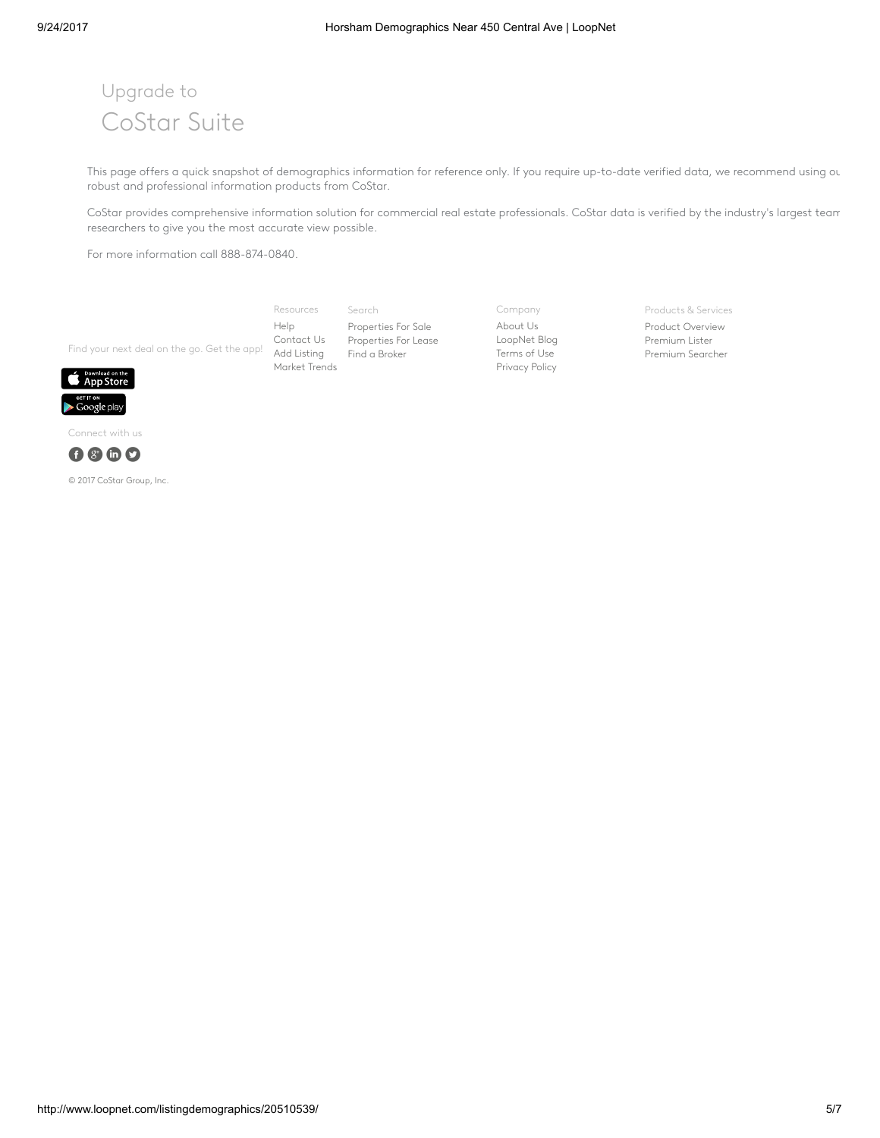## Upgrade to CoStar Suite

This page offers a quick snapshot of demographics information for reference only. If you require up-to-date verified data, we recommend using ou robust and professional information products from CoStar.

CoStar provides comprehensive information solution for commercial real estate professionals. CoStar data is verified by the industry's largest team researchers to give you the most accurate view possible.

For more information call 888-874-0840.

Find your next deal on the go. Get the app! Add [Listing](http://www.loopnet.com/xNet/MainSite/Listing/Manage/?LinkCode=31855) Resources [Help](http://www.loopnet.com/xNet/MainSite/Marketing/About/Help.aspx?LinkCode=31853) [Contact](http://www.loopnet.com/xNet/MainSite/Marketing/Contact/?LinkCode=31854) Us [Market](http://www.loopnet.com/markettrends/) Trends

Search [Properties](http://www.loopnet.com/listingdemographics/20510539/) For Sale [Properties](http://www.loopnet.com/listingdemographics/20510539/) For Lease Find a [Broker](http://www.loopnet.com/xNet/MainSite/User/Directory/Search/SearchCriteria.aspx?LinkCode=31843)

Company [About](http://www.loopnet.com/About-Us/?LinkCode=31858) Us [LoopNet](http://blog.loopnet.com/?LinkCode=31861) Blog [Terms](http://www.loopnet.com/xNet/MainSite/Marketing/About/TermsAndConditions.aspx?LinkCode=31859) of Use [Privacy](http://www.loopnet.com/xNet/MainSite/Marketing/About/Privacy.aspx?LinkCode=31860) Policy

Products & Services

Product [Overview](http://www.loopnet.com/products/?LinkCode=31844) [Premium](http://www.loopnet.com/products/PremiumMembership/?LinkCode=31845) Lister [Premium](http://www.loopnet.com/xNet/MainSite/Marketing/Products/SearcherPro/?LinkCode=31846) Searcher



Connect with us



© 2017 CoStar Group, Inc.